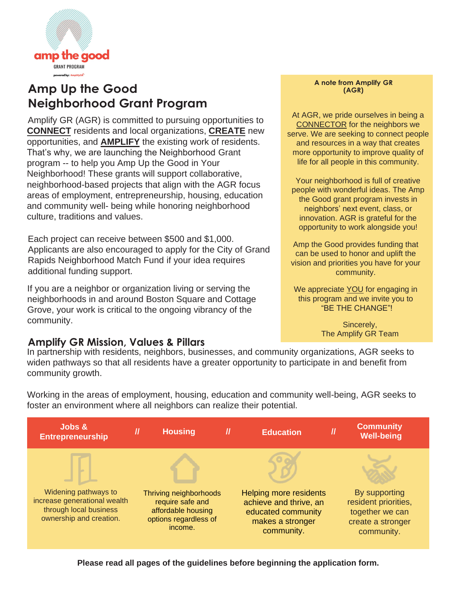

## **Amp Up the Good Neighborhood Grant Program**

Amplify GR (AGR) is committed to pursuing opportunities to **CONNECT** residents and local organizations, **CREATE** new opportunities, and **AMPLIFY** the existing work of residents. That's why, we are launching the Neighborhood Grant program -- to help you Amp Up the Good in Your Neighborhood! These grants will support collaborative, neighborhood-based projects that align with the AGR focus areas of employment, entrepreneurship, housing, education and community well- being while honoring neighborhood culture, traditions and values.

Each project can receive between \$500 and \$1,000. Applicants are also encouraged to apply for the City of Grand Rapids Neighborhood Match Fund if your idea requires additional funding support.

If you are a neighbor or organization living or serving the neighborhoods in and around Boston Square and Cottage Grove, your work is critical to the ongoing vibrancy of the community.

### **Amplify GR Mission, Values & Pillars**

#### **A note from Amplify GR (AGR)**

At AGR, we pride ourselves in being a CONNECTOR for the neighbors we serve. We are seeking to connect people and resources in a way that creates more opportunity to improve quality of life for all people in this community.

Your neighborhood is full of creative people with wonderful ideas. The Amp the Good grant program invests in neighbors' next event, class, or innovation. AGR is grateful for the opportunity to work alongside you!

Amp the Good provides funding that can be used to honor and uplift the vision and priorities you have for your community.

We appreciate **YOU** for engaging in this program and we invite you to "BE THE CHANGE"!

> Sincerely, The Amplify GR Team

In partnership with residents, neighbors, businesses, and community organizations, AGR seeks to widen pathways so that all residents have a greater opportunity to participate in and benefit from community growth.

Working in the areas of employment, housing, education and community well-being, AGR seeks to foster an environment where all neighbors can realize their potential.



**Please read all pages of the guidelines before beginning the application form.**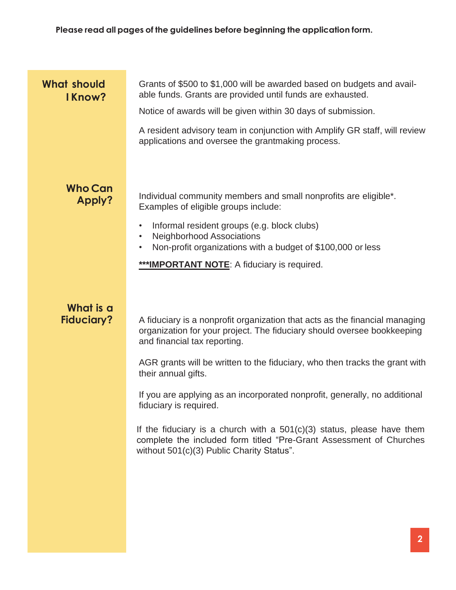| <b>What should</b><br>I Know?  | Grants of \$500 to \$1,000 will be awarded based on budgets and avail-<br>able funds. Grants are provided until funds are exhausted.                                                         |
|--------------------------------|----------------------------------------------------------------------------------------------------------------------------------------------------------------------------------------------|
|                                | Notice of awards will be given within 30 days of submission.                                                                                                                                 |
|                                | A resident advisory team in conjunction with Amplify GR staff, will review<br>applications and oversee the grantmaking process.                                                              |
|                                |                                                                                                                                                                                              |
| <b>Who Can</b><br>Apply?       | Individual community members and small nonprofits are eligible <sup>*</sup> .<br>Examples of eligible groups include:                                                                        |
|                                | Informal resident groups (e.g. block clubs)<br>٠<br><b>Neighborhood Associations</b><br>$\bullet$<br>Non-profit organizations with a budget of \$100,000 or less                             |
|                                | ***IMPORTANT NOTE: A fiduciary is required.                                                                                                                                                  |
|                                |                                                                                                                                                                                              |
| What is a<br><b>Fiduciary?</b> | A fiduciary is a nonprofit organization that acts as the financial managing<br>organization for your project. The fiduciary should oversee bookkeeping<br>and financial tax reporting.       |
|                                | AGR grants will be written to the fiduciary, who then tracks the grant with<br>their annual gifts.                                                                                           |
|                                | If you are applying as an incorporated nonprofit, generally, no additional<br>fiduciary is required.                                                                                         |
|                                | If the fiduciary is a church with a $501(c)(3)$ status, please have them<br>complete the included form titled "Pre-Grant Assessment of Churches<br>without 501(c)(3) Public Charity Status". |
|                                |                                                                                                                                                                                              |
|                                |                                                                                                                                                                                              |
|                                |                                                                                                                                                                                              |
|                                |                                                                                                                                                                                              |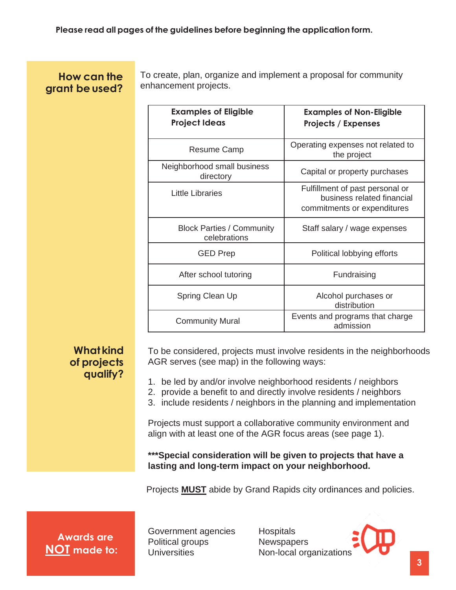### **How can the** grant be used?

To create, plan, organize and implement a proposal for community enhancement projects.

| <b>Examples of Eligible</b><br><b>Project Ideas</b> | <b>Examples of Non-Eligible</b><br><b>Projects / Expenses</b>                                |
|-----------------------------------------------------|----------------------------------------------------------------------------------------------|
| Resume Camp                                         | Operating expenses not related to<br>the project                                             |
| Neighborhood small business<br>directory            | Capital or property purchases                                                                |
| <b>Little Libraries</b>                             | Fulfillment of past personal or<br>business related financial<br>commitments or expenditures |
| <b>Block Parties / Community</b><br>celebrations    | Staff salary / wage expenses                                                                 |
| <b>GED Prep</b>                                     | Political lobbying efforts                                                                   |
| After school tutoring                               | Fundraising                                                                                  |
| Spring Clean Up                                     | Alcohol purchases or<br>distribution                                                         |
| <b>Community Mural</b>                              | Events and programs that charge<br>admission                                                 |

### **What kind of projects qualify?**

To be considered, projects must involve residents in the neighborhoods AGR serves (see map) in the following ways:

- 1. be led by and/or involve neighborhood residents / neighbors
- 2. provide a benefit to and directly involve residents / neighbors
- 3. include residents / neighbors in the planning and implementation

Projects must support a collaborative community environment and align with at least one of the AGR focus areas (see page 1).

**\*\*\*Special consideration will be given to projects that have a lasting and long-term impact on your neighborhood.** 

Projects **MUST** abide by Grand Rapids city ordinances and policies.

**Awards are NOT made to:** Government agencies Political groups **Universities** 

**Hospitals Newspapers** Non-local organizations

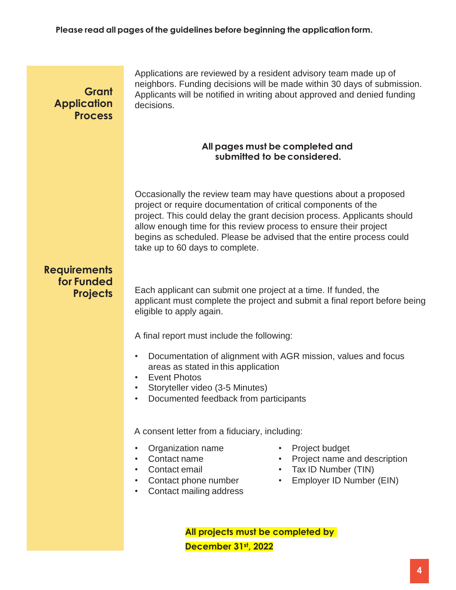### **Grant Application Process**

Applications are reviewed by a resident advisory team made up of neighbors. Funding decisions will be made within 30 days of submission. Applicants will be notified in writing about approved and denied funding decisions.

#### **All pages must be completed and submitted to beconsidered.**

Occasionally the review team may have questions about a proposed project or require documentation of critical components of the project. This could delay the grant decision process. Applicants should allow enough time for this review process to ensure their project begins as scheduled. Please be advised that the entire process could take up to 60 days to complete.

### **Requirements for Funded Projects**

Each applicant can submit one project at a time. If funded, the applicant must complete the project and submit a final report before being eligible to apply again.

A final report must include the following:

- Documentation of alignment with AGR mission, values and focus areas as stated in this application
- Event Photos
- Storyteller video (3-5 Minutes)
- Documented feedback from participants

A consent letter from a fiduciary, including:

- Organization name
- Contact name
- Contact email
- Contact phone number
- Contact mailing address
- Project budget
- Project name and description
- Tax ID Number (TIN)
- Employer ID Number (EIN)

**All projects must be completed by December 31st, 2022**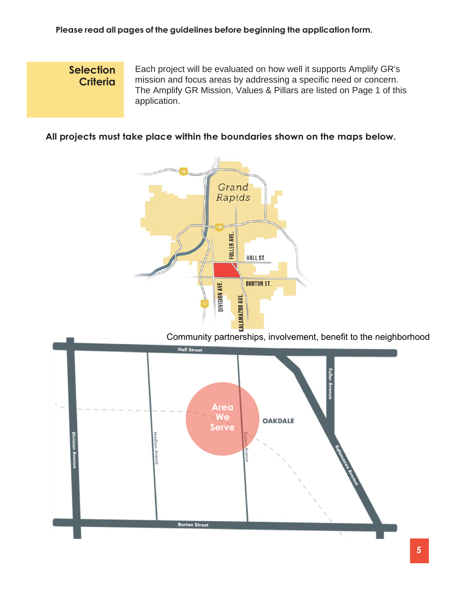### **Selection Criteria**

Each project will be evaluated on how well it supports Amplify GR's mission and focus areas by addressing a specific need or concern. The Amplify GR Mission, Values & Pillars are listed on Page 1 of this application.

### **All projects must take place within the boundaries shown on the maps below.**



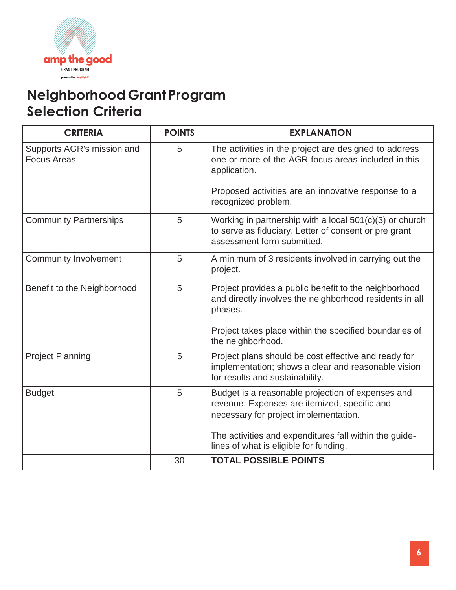

# **Neighborhood Grant Program Selection Criteria**

| <b>CRITERIA</b>                                  | <b>POINTS</b> | <b>EXPLANATION</b>                                                                                                                               |
|--------------------------------------------------|---------------|--------------------------------------------------------------------------------------------------------------------------------------------------|
| Supports AGR's mission and<br><b>Focus Areas</b> | 5             | The activities in the project are designed to address<br>one or more of the AGR focus areas included in this<br>application.                     |
|                                                  |               | Proposed activities are an innovative response to a<br>recognized problem.                                                                       |
| <b>Community Partnerships</b>                    | 5             | Working in partnership with a local $501(c)(3)$ or church<br>to serve as fiduciary. Letter of consent or pre grant<br>assessment form submitted. |
| <b>Community Involvement</b>                     | 5             | A minimum of 3 residents involved in carrying out the<br>project.                                                                                |
| Benefit to the Neighborhood                      | 5             | Project provides a public benefit to the neighborhood<br>and directly involves the neighborhood residents in all<br>phases.                      |
|                                                  |               | Project takes place within the specified boundaries of<br>the neighborhood.                                                                      |
| <b>Project Planning</b>                          | 5             | Project plans should be cost effective and ready for<br>implementation; shows a clear and reasonable vision<br>for results and sustainability.   |
| <b>Budget</b>                                    | 5             | Budget is a reasonable projection of expenses and<br>revenue. Expenses are itemized, specific and<br>necessary for project implementation.       |
|                                                  |               | The activities and expenditures fall within the quide-<br>lines of what is eligible for funding.                                                 |
|                                                  | 30            | <b>TOTAL POSSIBLE POINTS</b>                                                                                                                     |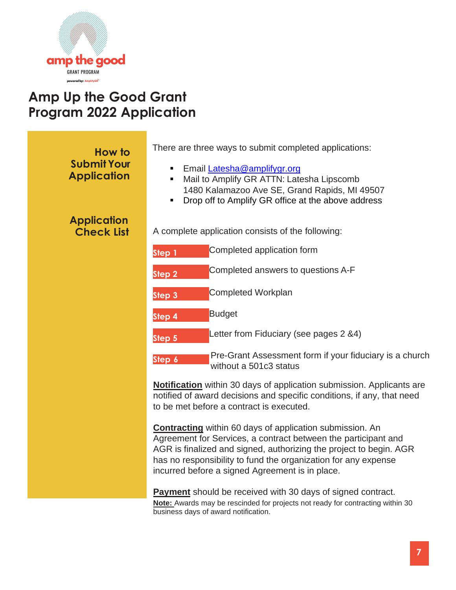

## **Amp Up the Good Grant Program 2022 Application**

| How to                                   | There are three ways to submit completed applications:                                                                                                                                                                                                                                                                       |
|------------------------------------------|------------------------------------------------------------------------------------------------------------------------------------------------------------------------------------------------------------------------------------------------------------------------------------------------------------------------------|
| <b>Submit Your</b><br><b>Application</b> | Email Latesha@amplifygr.org<br>٠<br>Mail to Amplify GR ATTN: Latesha Lipscomb<br>$\blacksquare$<br>1480 Kalamazoo Ave SE, Grand Rapids, MI 49507<br>Drop off to Amplify GR office at the above address<br>$\blacksquare$                                                                                                     |
| <b>Application</b><br><b>Check List</b>  | A complete application consists of the following:                                                                                                                                                                                                                                                                            |
|                                          | Completed application form<br>Step 1                                                                                                                                                                                                                                                                                         |
|                                          | Completed answers to questions A-F<br>Step 2                                                                                                                                                                                                                                                                                 |
|                                          | <b>Completed Workplan</b><br>Step <sub>3</sub>                                                                                                                                                                                                                                                                               |
|                                          | <b>Budget</b><br>Step 4                                                                                                                                                                                                                                                                                                      |
|                                          | Letter from Fiduciary (see pages 2 &4)<br>Step 5                                                                                                                                                                                                                                                                             |
|                                          | Pre-Grant Assessment form if your fiduciary is a church<br>Step 6<br>without a 501c3 status                                                                                                                                                                                                                                  |
|                                          | <b>Notification</b> within 30 days of application submission. Applicants are<br>notified of award decisions and specific conditions, if any, that need<br>to be met before a contract is executed.                                                                                                                           |
|                                          | <b>Contracting</b> within 60 days of application submission. An<br>Agreement for Services, a contract between the participant and<br>AGR is finalized and signed, authorizing the project to begin. AGR<br>has no responsibility to fund the organization for any expense<br>incurred before a signed Agreement is in place. |
|                                          | <b>Payment</b> should be received with 30 days of signed contract.                                                                                                                                                                                                                                                           |

**Note:** Awards may be rescinded for projects not ready for contracting within 30 business days of award notification.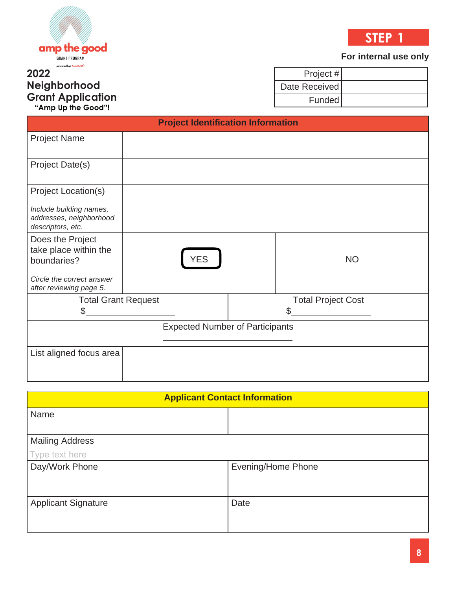



#### **For internal use only**

### **2022 Neighborhood Grant Application "Amp Up the Good"!**

Project # Date Received Funded

|                                                                         | <b>Project Identification Information</b> |                                 |
|-------------------------------------------------------------------------|-------------------------------------------|---------------------------------|
| <b>Project Name</b>                                                     |                                           |                                 |
| Project Date(s)                                                         |                                           |                                 |
| Project Location(s)                                                     |                                           |                                 |
| Include building names,<br>addresses, neighborhood<br>descriptors, etc. |                                           |                                 |
| Does the Project<br>take place within the<br>boundaries?                | <b>YES</b>                                | <b>NO</b>                       |
| Circle the correct answer<br>after reviewing page 5.                    |                                           |                                 |
| <b>Total Grant Request</b><br>\$.                                       |                                           | \$<br><b>Total Project Cost</b> |
|                                                                         | <b>Expected Number of Participants</b>    |                                 |
| List aligned focus area                                                 |                                           |                                 |

| <b>Applicant Contact Information</b> |                           |  |
|--------------------------------------|---------------------------|--|
| Name                                 |                           |  |
| <b>Mailing Address</b>               |                           |  |
| Type text here                       |                           |  |
| Day/Work Phone                       | <b>Evening/Home Phone</b> |  |
|                                      |                           |  |
| <b>Applicant Signature</b>           | Date                      |  |
|                                      |                           |  |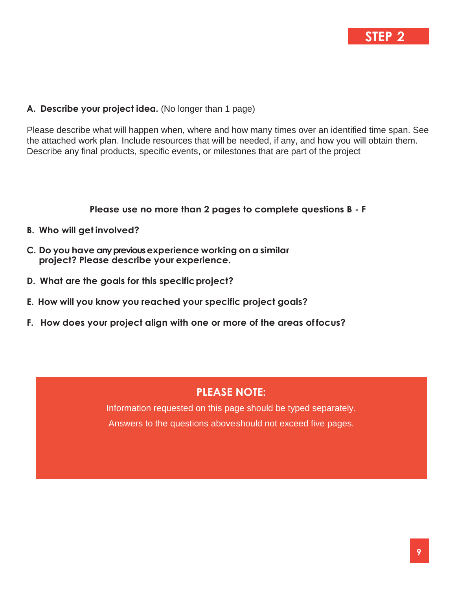## **STEP 2**

#### **A. Describe your project idea.** (No longer than 1 page)

Please describe what will happen when, where and how many times over an identified time span. See the attached work plan. Include resources that will be needed, if any, and how you will obtain them. Describe any final products, specific events, or milestones that are part of the project

**Please use no more than 2 pages to complete questions B - F**

- **B. Who will get involved?**
- **C. Do you have any previous experience working on a similar project? Please describe your experience.**
- **D. What are the goals for this specificproject?**
- **E. How will you know you reached your specific project goals?**
- **F. How does your project align with one or more of the areas of focus?**

#### **PLEASE NOTE:**

Information requested on this page should be typed separately. Answers to the questions aboveshould not exceed five pages.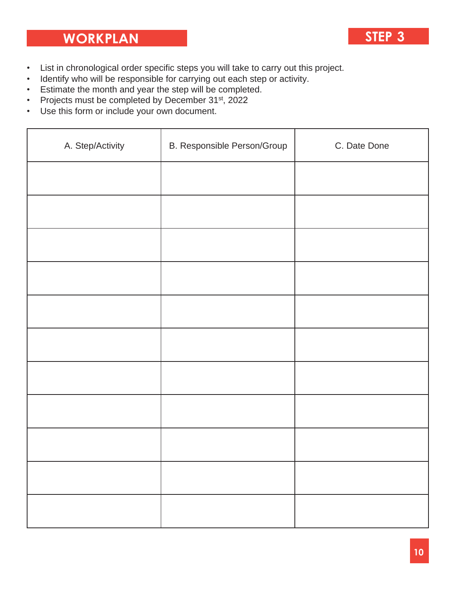# **WORKPLAN STEP 3**

- 
- List in chronological order specific steps you will take to carry out this project.
- Identify who will be responsible for carrying out each step or activity.
- Estimate the month and year the step will be completed.
- Projects must be completed by December 31<sup>st</sup>, 2022
- Use this form or include your own document.

| A. Step/Activity | B. Responsible Person/Group | C. Date Done |
|------------------|-----------------------------|--------------|
|                  |                             |              |
|                  |                             |              |
|                  |                             |              |
|                  |                             |              |
|                  |                             |              |
|                  |                             |              |
|                  |                             |              |
|                  |                             |              |
|                  |                             |              |
|                  |                             |              |
|                  |                             |              |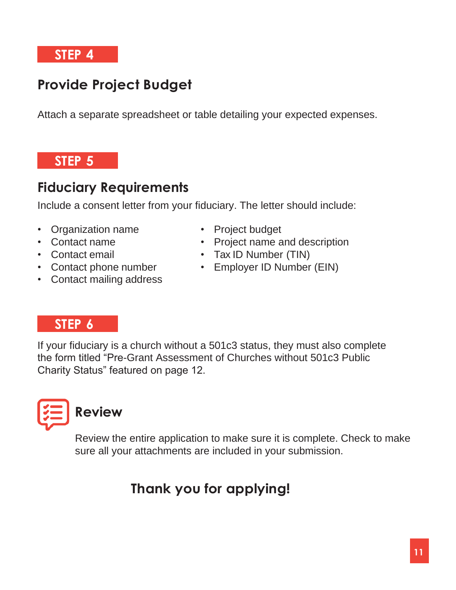**STEP 4**

# **Provide Project Budget**

Attach a separate spreadsheet or table detailing your expected expenses.

## **STEP 5**

# **Fiduciary Requirements**

Include a consent letter from your fiduciary. The letter should include:

- Organization name
- Contact name
- Contact email
- Contact phone number
- Contact mailing address
- Project budget
- Project name and description
- Tax ID Number (TIN)
- Employer ID Number (EIN)

## **STEP 6**

If your fiduciary is a church without a 501c3 status, they must also complete the form titled "Pre-Grant Assessment of Churches without 501c3 Public Charity Status" featured on page 12.



Review the entire application to make sure it is complete. Check to make sure all your attachments are included in your submission.

# **Thank you for applying!**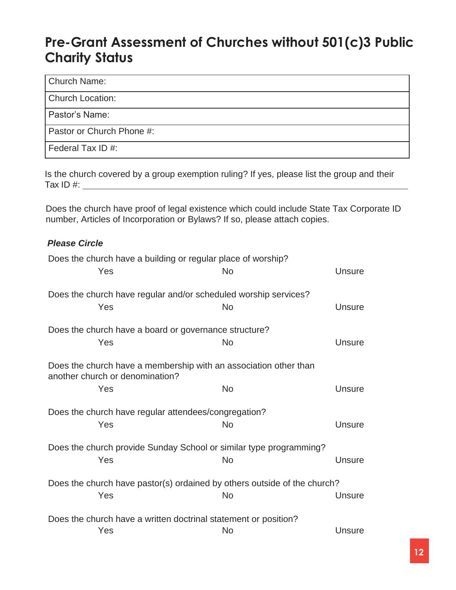## **Pre-Grant Assessment of Churches without 501(c)3 Public Charity Status**

#### Church Name:

Church Location:

Pastor's Name:

Pastor or Church Phone #:

Federal Tax ID #:

Is the church covered by a group exemption ruling? If yes, please list the group and their Tax ID #:

Does the church have proof of legal existence which could include State Tax Corporate ID number, Articles of Incorporation or Bylaws? If so, please attach copies.

### *Please Circle*

| Does the church have a building or regular place of worship?<br>Yes                                 | <b>No</b> |               |  |
|-----------------------------------------------------------------------------------------------------|-----------|---------------|--|
|                                                                                                     |           | <b>Unsure</b> |  |
| Does the church have regular and/or scheduled worship services?                                     |           |               |  |
| Yes                                                                                                 | <b>No</b> | Unsure        |  |
| Does the church have a board or governance structure?                                               |           |               |  |
| Yes                                                                                                 | No        | Unsure        |  |
| Does the church have a membership with an association other than<br>another church or denomination? |           |               |  |
| Yes                                                                                                 | <b>No</b> | <b>Unsure</b> |  |
| Does the church have regular attendees/congregation?                                                |           |               |  |
| Yes                                                                                                 | <b>No</b> | <b>Unsure</b> |  |
| Does the church provide Sunday School or similar type programming?                                  |           |               |  |
| Yes                                                                                                 | <b>No</b> | <b>Unsure</b> |  |
| Does the church have pastor(s) ordained by others outside of the church?                            |           |               |  |
| Yes                                                                                                 | <b>No</b> | Unsure        |  |
| Does the church have a written doctrinal statement or position?                                     |           |               |  |
| Yes                                                                                                 | <b>No</b> | <b>Unsure</b> |  |
|                                                                                                     |           |               |  |